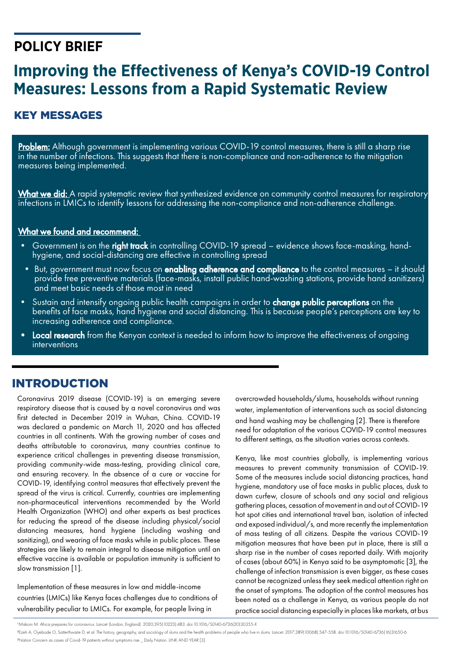# **POLICY BRIEF**

# **Improving the Effectiveness of Kenya's COVID-19 Control Measures: Lessons from a Rapid Systematic Review**

# KEY MESSAGES

Problem: Although government is implementing various COVID-19 control measures, there is still a sharp rise in the number of infections. This suggests that there is non-compliance and non-adherence to the mitigation measures being implemented.

What we did: A rapid systematic review that synthesized evidence on community control measures for respiratory infections in LMICs to identify lessons for addressing the non-compliance and non-adherence challenge.

## What we found and recommend:

- Government is on the right track in controlling COVID-19 spread evidence shows face-masking, handhygiene, and social-distancing are effective in controlling spread
- But, government must now focus on enabling adherence and compliance to the control measures it should provide free preventive materials (face-masks, install public hand-washing stations, provide hand sanitizers) and meet basic needs of those most in need
- Sustain and intensify ongoing public health campaigns in order to **change public perceptions** on the benefits of face masks, hand hygiene and social distancing. This is because people's perceptions are key to increasing adherence and compliance.
- Local research from the Kenyan context is needed to inform how to improve the effectiveness of ongoing interventions

# INTRODUCTION

Coronavirus 2019 disease (COVID-19) is an emerging severe respiratory disease that is caused by a novel coronavirus and was first detected in December 2019 in Wuhan, China. COVID-19 was declared a pandemic on March 11, 2020 and has affected countries in all continents. With the growing number of cases and deaths attributable to coronavirus, many countries continue to experience critical challenges in preventing disease transmission, providing community-wide mass-testing, providing clinical care, and ensuring recovery. In the absence of a cure or vaccine for COVID-19, identifying control measures that effectively prevent the spread of the virus is critical. Currently, countries are implementing non-pharmaceutical interventions recommended by the World Health Organization (WHO) and other experts as best practices for reducing the spread of the disease including physical/social distancing measures, hand hygiene (including washing and sanitizing), and wearing of face masks while in public places. These strategies are likely to remain integral to disease mitigation until an effective vaccine is available or population immunity is sufficient to slow transmission [1].

Implementation of these measures in low and middle-income countries (LMICs) like Kenya faces challenges due to conditions of vulnerability peculiar to LMICs. For example, for people living in

overcrowded households/slums, households without running water, implementation of interventions such as social distancing and hand washing may be challenging [2]. There is therefore need for adaptation of the various COVID-19 control measures to different settings, as the situation varies across contexts.

Kenya, like most countries globally, is implementing various measures to prevent community transmission of COVID-19. Some of the measures include social distancing practices, hand hygiene, mandatory use of face masks in public places, dusk to dawn curfew, closure of schools and any social and religious gathering places, cessation of movement in and out of COVID-19 hot spot cities and international travel ban, isolation of infected and exposed individual/s, and more recently the implementation of mass testing of all citizens. Despite the various COVID-19 mitigation measures that have been put in place, there is still a sharp rise in the number of cases reported daily. With majority of cases (about 60%) in Kenya said to be asymptomatic [3], the challenge of infection transmission is even bigger, as these cases cannot be recognized unless they seek medical attention right on the onset of symptoms. The adoption of the control measures has been noted as a challenge in Kenya, as various people do not practice social distancing especially in places like markets, at bus

1 Makoni M. Africa prepares for coronavirus. Lancet (London, England). 2020;395(10223):483. doi:10.1016/S0140-6736(20)30355-X

2 Ezeh A, Oyebode O, Satterthwaite D, et al. The history, geography, and sociology of slums and the health problems of people who live in slums. Lancet. 2017;389(10068):547-558. doi:10.1016/S0140-6736(16)31650-6 3 Nation Concern as cases of Covid-19 patients without symptoms rise \_ Daily Nation. LINK AND YEAR [3].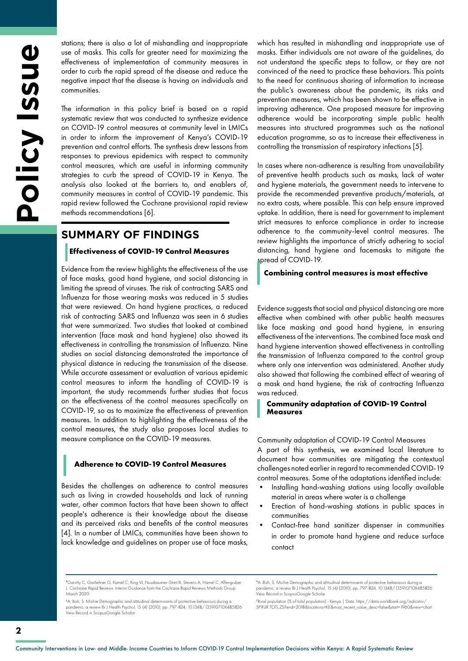stations; there is also a lot of mishandling and inappropriate use of masks. This calls for greater need for maximizing the effectiveness of implementation of community measures in order to curb the rapid spread of the disease and reduce the negative impact that the disease is having on individuals and communities.

The information in this policy brief is based on a rapid systematic review that was conducted to synthesize evidence on COVID-19 control measures at community level in LMICs in order to inform the improvement of Kenya's COVID-19 prevention and control efforts. The synthesis drew lessons from responses to previous epidemics with respect to community control measures, which are useful in informing community strategies to curb the spread of COVID-19 in Kenya. The analysis also looked at the barriers to, and enablers of, community measures in control of COVID-19 pandemic. This rapid review followed the Cochrane provisional rapid review methods recommendations [6].

# **SUMMARY OF FINDINGS**

### **Effectiveness of COVID-19 Control Measures**

Evidence from the review highlights the effectiveness of the use of face masks, good hand hygiene, and social distancing in limiting the spread of viruses. The risk of contracting SARS and Influenza for those wearing masks was reduced in 5 studies that were reviewed. On hand hygiene practices, a reduced risk of contracting SARS and Influenza was seen in 6 studies that were summarized. Two studies that looked at combined intervention (face mask and hand hygiene) also showed its effectiveness in controlling the transmission of Influenza. Nine studies on social distancing demonstrated the importance of physical distance in reducing the transmission of the disease. While accurate assessment or evaluation of various epidemic control measures to inform the handling of COVID-19 is important, the study recommends further studies that focus on the effectiveness of the control measures specifically on COVID-19, so as to maximize the effectiveness of prevention measures. In addition to highlighting the effectiveness of the control measures, the study also proposes local studies to measure compliance on the COVID-19 measures.

#### **Adherence to COVID-19 Control Measures**

Besides the challenges on adherence to control measures such as living in crowded households and lack of running water, other common factors that have been shown to affect people's adherence is their knowledge about the disease and its perceived risks and benefits of the control measures [4]. In a number of LMICs, communities have been shown to lack knowledge and guidelines on proper use of face masks,

which has resulted in mishandling and inappropriate use of masks. Either individuals are not aware of the guidelines, do not understand the specific steps to follow, or they are not convinced of the need to practice these behaviors. This points to the need for continuous sharing of information to increase the public's awareness about the pandemic, its risks and prevention measures, which has been shown to be effective in improving adherence. One proposed measure for improving adherence would be incorporating simple public health measures into structured programmes such as the national education programme, so as to increase their effectiveness in controlling the transmission of respiratory infections [5].

In cases where non-adherence is resulting from unavailability of preventive health products such as masks, lack of water and hygiene materials, the government needs to intervene to provide the recommended preventive products/materials, at no extra costs, where possible. This can help ensure improved uptake. In addition, there is need for government to implement strict measures to enforce compliance in order to increase adherence to the community-level control measures. The review highlights the importance of strictly adhering to social distancing, hand hygiene and facemasks to mitigate the spread of COVID-19.

#### **Combining control measures is most effective**

Evidence suggests that social and physical distancing are more effective when combined with other public health measures like face masking and good hand hygiene, in ensuring effectiveness of the interventions. The combined face mask and hand hygiene intervention showed effectiveness in controlling the transmission of Influenza compared to the control group where only one intervention was administered. Another study also showed that following the combined effect of wearing of a mask and hand hygiene, the risk of contracting Influenza was reduced.

### **Community adaptation of COVID-19 Control Measures**

#### Community adaptation of COVID-19 Control Measures

A part of this synthesis, we examined local literature to document how communities are mitigating the contextual challenges noted earlier in regard to recommended COVID-19 control measures. Some of the adaptations identified include:

- Installing hand-washing stations using locally available material in areas where water is a challenge
- Erection of hand-washing stations in public spaces in communities
- Contact-free hand sanitizer dispenser in communities in order to promote hand hygiene and reduce surface contact

7 Rural population (% of total population) - Kenya | Data. https://data.worldbank.org/indicator/ SP.RUR.TOTL.ZS?end=2018&locations=KE&most\_recent\_value\_desc=false&start=1960&view=chart

<sup>4</sup> Garritty C, Gartlehner G, Kamel C, King VJ, Nussbaumer-Streit B, Stevens A, Hamel C, Affengruber L. Cochrane Rapid Reviews. Interim Guidance from the Cochrane Rapid Reviews Methods Group. March 2020 ©Adam Cohn/Flickr

<sup>5</sup> A. Bish, S. Michie Demographic and attitudinal determinants of protective behaviours during a pandemic: a review Br J Health Psychol, 15 (4) (2010), pp. 797-824, 10.1348/135910710X485826<br>View Record in ScopusGoogle Scholar

<sup>6</sup> A. Bish, S. Michie Demographic and attitudinal determinants of protective behaviours during a pandemic: a review Br J Health Psychol, 15 (4) (2010), pp. 797-824, 10.1348/135910710X485826 View Record in ScopusGoogle Scholar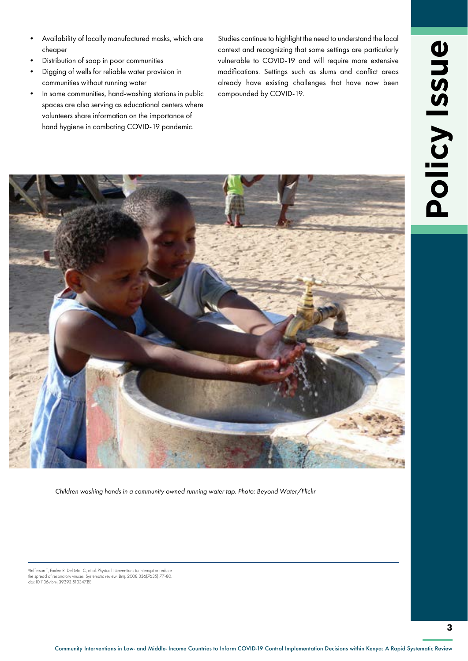- Availability of locally manufactured masks, which are cheaper
- Distribution of soap in poor communities
- Digging of wells for reliable water provision in communities without running water
- In some communities, hand-washing stations in public spaces are also serving as educational centers where volunteers share information on the importance of hand hygiene in combating COVID-19 pandemic.

Studies continue to highlight the need to understand the local context and recognizing that some settings are particularly vulnerable to COVID-19 and will require more extensive modifications. Settings such as slums and conflict areas already have existing challenges that have now been compounded by COVID-19.



*Children washing hands in a community owned running water tap. Photo: Beyond Water/Flickr*

8 Jefferson T, Foxlee R, Del Mar C, et al. Physical interventions to interrupt or reduce the spread of respiratory viruses: Systematic review. Bmj. 2008;336(7635):77-80. the spread of respiratory viruses: Sys<br>doi:10.1136/bmj.39393.510347.BE